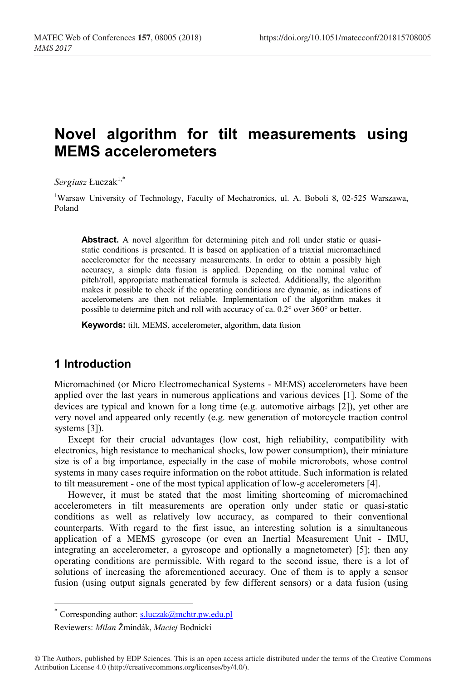# **Novel algorithm for tilt measurements using MEMS accelerometers**

 $S$ *ergiusz* Łuczak<sup>1,\*</sup>

<sup>1</sup>Warsaw University of Technology, Faculty of Mechatronics, ul. A. Boboli 8, 02-525 Warszawa, Poland

Abstract. A novel algorithm for determining pitch and roll under static or quasistatic conditions is presented. It is based on application of a triaxial micromachined accelerometer for the necessary measurements. In order to obtain a possibly high accuracy, a simple data fusion is applied. Depending on the nominal value of pitch/roll, appropriate mathematical formula is selected. Additionally, the algorithm makes it possible to check if the operating conditions are dynamic, as indications of accelerometers are then not reliable. Implementation of the algorithm makes it possible to determine pitch and roll with accuracy of ca. 0.2° over 360° or better.

**Keywords:** tilt, MEMS, accelerometer, algorithm, data fusion

#### **1 Introduction**

Micromachined (or Micro Electromechanical Systems - MEMS) accelerometers have been applied over the last years in numerous applications and various devices [1]. Some of the devices are typical and known for a long time (e.g. automotive airbags [2]), yet other are very novel and appeared only recently (e.g. new generation of motorcycle traction control systems [3]).

Except for their crucial advantages (low cost, high reliability, compatibility with electronics, high resistance to mechanical shocks, low power consumption), their miniature size is of a big importance, especially in the case of mobile microrobots, whose control systems in many cases require information on the robot attitude. Such information is related to tilt measurement - one of the most typical application of low-g accelerometers [4].

However, it must be stated that the most limiting shortcoming of micromachined accelerometers in tilt measurements are operation only under static or quasi-static conditions as well as relatively low accuracy, as compared to their conventional counterparts. With regard to the first issue, an interesting solution is a simultaneous application of a MEMS gyroscope (or even an Inertial Measurement Unit - IMU, integrating an accelerometer, a gyroscope and optionally a magnetometer) [5]; then any operating conditions are permissible. With regard to the second issue, there is a lot of solutions of increasing the aforementioned accuracy. One of them is to apply a sensor fusion (using output signals generated by few different sensors) or a data fusion (using

<sup>\*</sup> Corresponding author:  $s.luczak@mchtr.pw.edu.pl$ 

Reviewers: *Milan* Žmindák, *Maciej* Bodnicki

<sup>©</sup> The Authors, published by EDP Sciences. This is an open access article distributed under the terms of the Creative Commons Attribution License 4.0 (http://creativecommons.org/licenses/by/4.0/).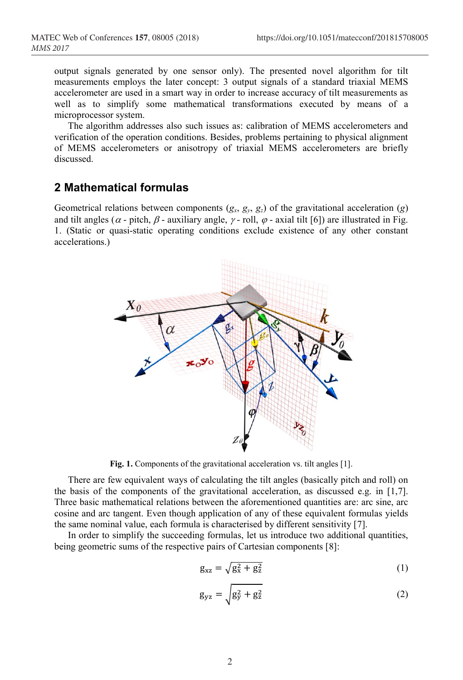output signals generated by one sensor only). The presented novel algorithm for tilt measurements employs the later concept: 3 output signals of a standard triaxial MEMS accelerometer are used in a smart way in order to increase accuracy of tilt measurements as well as to simplify some mathematical transformations executed by means of a microprocessor system.

The algorithm addresses also such issues as: calibration of MEMS accelerometers and verification of the operation conditions. Besides, problems pertaining to physical alignment of MEMS accelerometers or anisotropy of triaxial MEMS accelerometers are briefly discussed.

## **2 Mathematical formulas**

Geometrical relations between components  $(g_x, g_y, g_z)$  of the gravitational acceleration  $(g)$ and tilt angles ( $\alpha$  - pitch,  $\beta$  - auxiliary angle,  $\gamma$  - roll,  $\varphi$  - axial tilt [6]) are illustrated in Fig. 1. (Static or quasi-static operating conditions exclude existence of any other constant accelerations.)



**Fig. 1.** Components of the gravitational acceleration vs. tilt angles [1].

There are few equivalent ways of calculating the tilt angles (basically pitch and roll) on the basis of the components of the gravitational acceleration, as discussed e.g. in [1,7]. Three basic mathematical relations between the aforementioned quantities are: arc sine, arc cosine and arc tangent. Even though application of any of these equivalent formulas yields the same nominal value, each formula is characterised by different sensitivity [7].

In order to simplify the succeeding formulas, let us introduce two additional quantities, being geometric sums of the respective pairs of Cartesian components [8]:

$$
g_{xz} = \sqrt{g_x^2 + g_z^2}
$$
 (1)

$$
g_{yz} = \sqrt{g_y^2 + g_z^2}
$$
 (2)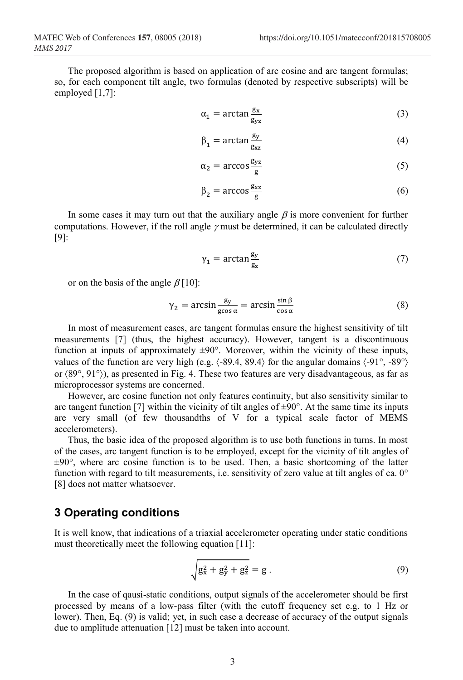The proposed algorithm is based on application of arc cosine and arc tangent formulas; so, for each component tilt angle, two formulas (denoted by respective subscripts) will be employed [1,7]:

$$
\alpha_1 = \arctan \frac{g_x}{g_{yz}} \tag{3}
$$

$$
\beta_1 = \arctan \frac{g_y}{g_{xz}}\tag{4}
$$

$$
\alpha_2 = \arccos \frac{g_{yz}}{g} \tag{5}
$$

$$
\beta_2 = \arccos \frac{g_{xz}}{g} \tag{6}
$$

In some cases it may turn out that the auxiliary angle  $\beta$  is more convenient for further computations. However, if the roll angle  $\gamma$  must be determined, it can be calculated directly [9]:

$$
\gamma_1 = \arctan \frac{g_y}{g_z} \tag{7}
$$

or on the basis of the angle  $\beta$  [10]:

$$
\gamma_2 = \arcsin \frac{g_y}{g\cos \alpha} = \arcsin \frac{\sin \beta}{\cos \alpha} \tag{8}
$$

In most of measurement cases, arc tangent formulas ensure the highest sensitivity of tilt measurements [7] (thus, the highest accuracy). However, tangent is a discontinuous function at inputs of approximately  $\pm 90^\circ$ . Moreover, within the vicinity of these inputs, values of the function are very high (e.g.  $\langle -89.4, 89.4 \rangle$  for the angular domains  $\langle -91^\circ, -89^\circ \rangle$ ) or 89°, 91°), as presented in Fig. 4. These two features are very disadvantageous, as far as microprocessor systems are concerned.

However, arc cosine function not only features continuity, but also sensitivity similar to arc tangent function [7] within the vicinity of tilt angles of  $\pm 90^\circ$ . At the same time its inputs are very small (of few thousandths of V for a typical scale factor of MEMS accelerometers).

Thus, the basic idea of the proposed algorithm is to use both functions in turns. In most of the cases, arc tangent function is to be employed, except for the vicinity of tilt angles of ±90°, where arc cosine function is to be used. Then, a basic shortcoming of the latter function with regard to tilt measurements, i.e. sensitivity of zero value at tilt angles of ca. 0° [8] does not matter whatsoever.

#### **3 Operating conditions**

It is well know, that indications of a triaxial accelerometer operating under static conditions must theoretically meet the following equation [11]:

$$
\sqrt{g_x^2 + g_y^2 + g_z^2} = g.
$$
\n(9)

In the case of qausi-static conditions, output signals of the accelerometer should be first processed by means of a low-pass filter (with the cutoff frequency set e.g. to 1 Hz or lower). Then, Eq. (9) is valid; yet, in such case a decrease of accuracy of the output signals due to amplitude attenuation [12] must be taken into account.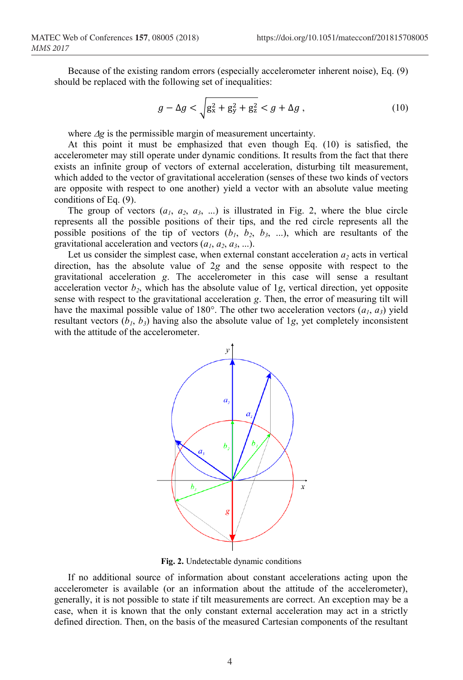Because of the existing random errors (especially accelerometer inherent noise), Eq. (9) should be replaced with the following set of inequalities:

$$
g - \Delta g < \sqrt{g_x^2 + g_y^2 + g_z^2} < g + \Delta g \,, \tag{10}
$$

where  $\Delta g$  is the permissible margin of measurement uncertainty.

At this point it must be emphasized that even though Eq. (10) is satisfied, the accelerometer may still operate under dynamic conditions. It results from the fact that there exists an infinite group of vectors of external acceleration, disturbing tilt measurement, which added to the vector of gravitational acceleration (senses of these two kinds of vectors are opposite with respect to one another) yield a vector with an absolute value meeting conditions of Eq. (9).

The group of vectors  $(a_1, a_2, a_3, ...)$  is illustrated in Fig. 2, where the blue circle represents all the possible positions of their tips, and the red circle represents all the possible positions of the tip of vectors  $(b_1, b_2, b_3, ...)$ , which are resultants of the gravitational acceleration and vectors  $(a_1, a_2, a_3, \ldots)$ .

Let us consider the simplest case, when external constant acceleration  $a_2$  acts in vertical direction, has the absolute value of 2*g* and the sense opposite with respect to the gravitational acceleration *g*. The accelerometer in this case will sense a resultant acceleration vector  $b_2$ , which has the absolute value of 1g, vertical direction, yet opposite sense with respect to the gravitational acceleration *g*. Then, the error of measuring tilt will have the maximal possible value of 180 $^{\circ}$ . The other two acceleration vectors  $(a_1, a_3)$  yield resultant vectors  $(b_1, b_3)$  having also the absolute value of 1*g*, yet completely inconsistent with the attitude of the accelerometer.



**Fig. 2.** Undetectable dynamic conditions

If no additional source of information about constant accelerations acting upon the accelerometer is available (or an information about the attitude of the accelerometer), generally, it is not possible to state if tilt measurements are correct. An exception may be a case, when it is known that the only constant external acceleration may act in a strictly defined direction. Then, on the basis of the measured Cartesian components of the resultant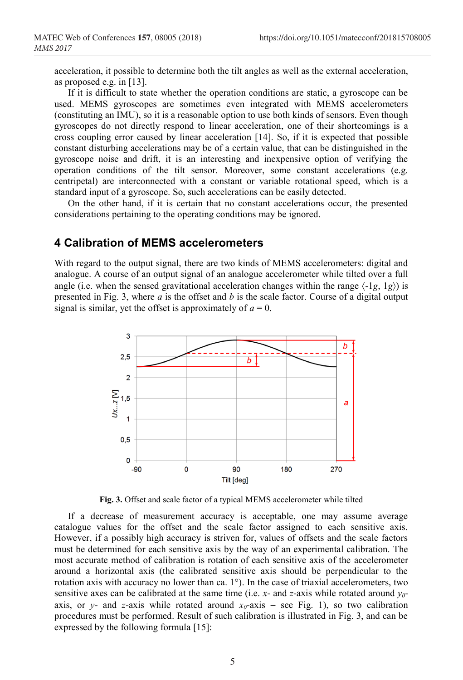acceleration, it possible to determine both the tilt angles as well as the external acceleration, as proposed e.g. in [13].

If it is difficult to state whether the operation conditions are static, a gyroscope can be used. MEMS gyroscopes are sometimes even integrated with MEMS accelerometers (constituting an IMU), so it is a reasonable option to use both kinds of sensors. Even though gyroscopes do not directly respond to linear acceleration, one of their shortcomings is a cross coupling error caused by linear acceleration [14]. So, if it is expected that possible constant disturbing accelerations may be of a certain value, that can be distinguished in the gyroscope noise and drift, it is an interesting and inexpensive option of verifying the operation conditions of the tilt sensor. Moreover, some constant accelerations (e.g. centripetal) are interconnected with a constant or variable rotational speed, which is a standard input of a gyroscope. So, such accelerations can be easily detected.

On the other hand, if it is certain that no constant accelerations occur, the presented considerations pertaining to the operating conditions may be ignored.

## **4 Calibration of MEMS accelerometers**

With regard to the output signal, there are two kinds of MEMS accelerometers: digital and analogue. A course of an output signal of an analogue accelerometer while tilted over a full angle (i.e. when the sensed gravitational acceleration changes within the range  $\langle -1g, 1g \rangle$ ) is presented in Fig. 3, where *a* is the offset and *b* is the scale factor. Course of a digital output signal is similar, yet the offset is approximately of  $a = 0$ .



**Fig. 3.** Offset and scale factor of a typical MEMS accelerometer while tilted

If a decrease of measurement accuracy is acceptable, one may assume average catalogue values for the offset and the scale factor assigned to each sensitive axis. However, if a possibly high accuracy is striven for, values of offsets and the scale factors must be determined for each sensitive axis by the way of an experimental calibration. The most accurate method of calibration is rotation of each sensitive axis of the accelerometer around a horizontal axis (the calibrated sensitive axis should be perpendicular to the rotation axis with accuracy no lower than ca. 1°). In the case of triaxial accelerometers, two sensitive axes can be calibrated at the same time (i.e.  $x$ - and  $z$ -axis while rotated around  $y<sub>0</sub>$ axis, or *y*- and *z*-axis while rotated around  $x_0$ -axis – see Fig. 1), so two calibration procedures must be performed. Result of such calibration is illustrated in Fig. 3, and can be expressed by the following formula [15]: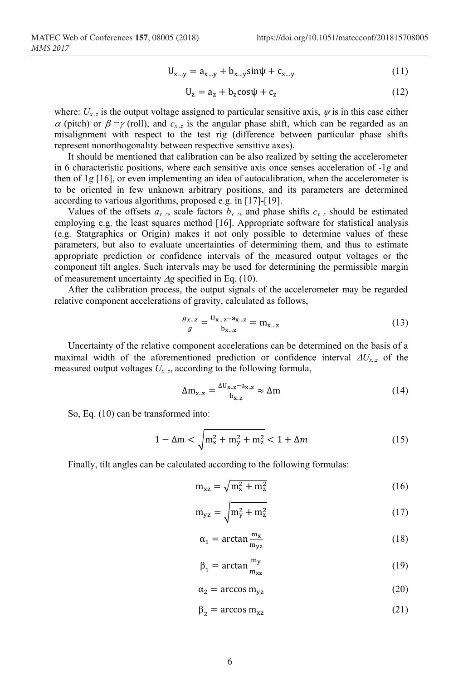$$
U_{x...y} = a_{x...y} + b_{x...y} \sin \psi + c_{x...y}
$$
 (11)

$$
U_z = a_z + b_z \cos \psi + c_z \tag{12}
$$

where:  $U_{x,z}$  is the output voltage assigned to particular sensitive axis,  $\psi$  is in this case either  $\alpha$  (pitch) or  $\beta = \gamma$  (roll), and  $c_x$ , is the angular phase shift, which can be regarded as an misalignment with respect to the test rig (difference between particular phase shifts represent nonorthogonality between respective sensitive axes).

It should be mentioned that calibration can be also realized by setting the accelerometer in 6 characteristic positions, where each sensitive axis once senses acceleration of -1*g* and then of 1*g* [16], or even implementing an idea of autocalibration, when the accelerometer is to be oriented in few unknown arbitrary positions, and its parameters are determined according to various algorithms, proposed e.g. in [17]-[19].

Values of the offsets  $a_{x,z}$ , scale factors  $b_{x,z}$ , and phase shifts  $c_{x,z}$  should be estimated employing e.g. the least squares method [16]. Appropriate software for statistical analysis (e.g. Statgraphics or Origin) makes it not only possible to determine values of these parameters, but also to evaluate uncertainties of determining them, and thus to estimate appropriate prediction or confidence intervals of the measured output voltages or the component tilt angles. Such intervals may be used for determining the permissible margin of measurement uncertainty  $\Delta g$  specified in Eq. (10).

After the calibration process, the output signals of the accelerometer may be regarded relative component accelerations of gravity, calculated as follows,

$$
\frac{g_{x...z}}{g} = \frac{U_{x...z} - a_{x...z}}{b_{x...z}} = m_{x...z}
$$
(13)

Uncertainty of the relative component accelerations can be determined on the basis of a maximal width of the aforementioned prediction or confidence interval  $\Delta U_{x,z}$  of the measured output voltages *Ux..z*, according to the following formula,

$$
\Delta m_{x.z} = \frac{\Delta U_{x.z} - a_{x.z}}{b_{x.z}} \approx \Delta m \tag{14}
$$

So, Eq. (10) can be transformed into:

$$
1 - \Delta m < \sqrt{m_x^2 + m_y^2 + m_z^2} < 1 + \Delta m \tag{15}
$$

Finally, tilt angles can be calculated according to the following formulas:

$$
m_{xz} = \sqrt{m_x^2 + m_z^2}
$$
 (16)

$$
m_{yz} = \sqrt{m_y^2 + m_z^2}
$$
 (17)

$$
\alpha_1 = \arctan \frac{m_x}{m_{yz}} \tag{18}
$$

$$
\beta_1 = \arctan \frac{m_y}{m_{xz}} \tag{19}
$$

$$
\alpha_2 = \arccos m_{yz} \tag{20}
$$

$$
\beta_2 = \arccos m_{xz} \tag{21}
$$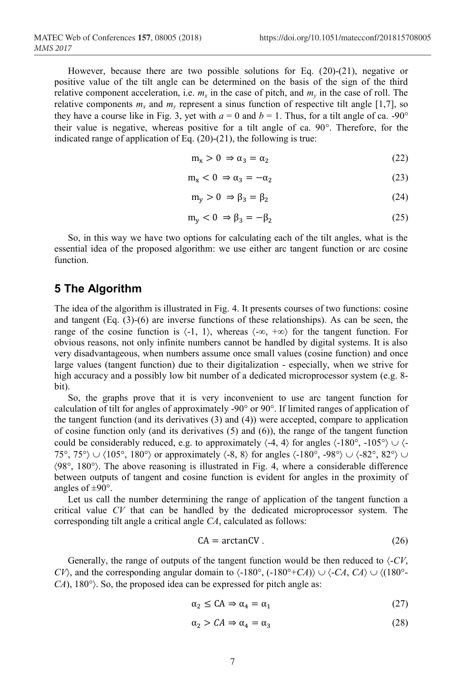However, because there are two possible solutions for Eq. (20)-(21), negative or positive value of the tilt angle can be determined on the basis of the sign of the third relative component acceleration, i.e.  $m_x$  in the case of pitch, and  $m_y$  in the case of roll. The relative components  $m_x$  and  $m_y$  represent a sinus function of respective tilt angle [1,7], so they have a course like in Fig. 3, yet with  $a = 0$  and  $b = 1$ . Thus, for a tilt angle of ca. -90° their value is negative, whereas positive for a tilt angle of ca. 90°. Therefore, for the indicated range of application of Eq.  $(20)-(21)$ , the following is true:

$$
m_x > 0 \Rightarrow \alpha_3 = \alpha_2 \tag{22}
$$

$$
m_x < 0 \Rightarrow \alpha_3 = -\alpha_2 \tag{23}
$$

$$
m_y > 0 \Rightarrow \beta_3 = \beta_2 \tag{24}
$$

$$
m_y < 0 \Rightarrow \beta_3 = -\beta_2 \tag{25}
$$

So, in this way we have two options for calculating each of the tilt angles, what is the essential idea of the proposed algorithm: we use either arc tangent function or arc cosine function.

#### **5 The Algorithm**

The idea of the algorithm is illustrated in Fig. 4. It presents courses of two functions: cosine and tangent (Eq. (3)-(6) are inverse functions of these relationships). As can be seen, the range of the cosine function is  $\langle -1, 1 \rangle$ , whereas  $\langle -\infty, +\infty \rangle$  for the tangent function. For obvious reasons, not only infinite numbers cannot be handled by digital systems. It is also very disadvantageous, when numbers assume once small values (cosine function) and once large values (tangent function) due to their digitalization - especially, when we strive for high accuracy and a possibly low bit number of a dedicated microprocessor system (e.g. 8 bit).

So, the graphs prove that it is very inconvenient to use arc tangent function for calculation of tilt for angles of approximately -90° or 90°. If limited ranges of application of the tangent function (and its derivatives (3) and (4)) were accepted, compare to application of cosine function only (and its derivatives (5) and (6)), the range of the tangent function could be considerably reduced, e.g. to approximately  $\langle -4, 4 \rangle$  for angles  $\langle -180^\circ, -105^\circ \rangle$   $\cup$   $\langle -105^\circ, 40^\circ, -105^\circ \rangle$ 75°, 75°)  $\cup$   $\langle 105^\circ, 180^\circ \rangle$  or approximately  $\langle -8, 8 \rangle$  for angles  $\langle -180^\circ, -98^\circ \rangle$   $\cup$   $\langle -82^\circ, 82^\circ \rangle$   $\cup$ 98°, 180°. The above reasoning is illustrated in Fig. 4, where a considerable difference between outputs of tangent and cosine function is evident for angles in the proximity of angles of  $\pm 90^\circ$ .

Let us call the number determining the range of application of the tangent function a critical value *CV* that can be handled by the dedicated microprocessor system. The corresponding tilt angle a critical angle *CA*, calculated as follows:

$$
CA = arctanCV.
$$
 (26)

Generally, the range of outputs of the tangent function would be then reduced to  $\langle$ -*CV*, *CV*), and the corresponding angular domain to  $\langle -180^\circ, (-180^\circ + CA) \rangle \cup \langle -CA, CA \rangle \cup \langle (180^\circ - B, CA) \rangle$ *CA*), 180°. So, the proposed idea can be expressed for pitch angle as:

$$
\alpha_2 \le \text{CA} \Rightarrow \alpha_4 = \alpha_1 \tag{27}
$$

$$
\alpha_2 > CA \Rightarrow \alpha_4 = \alpha_3 \tag{28}
$$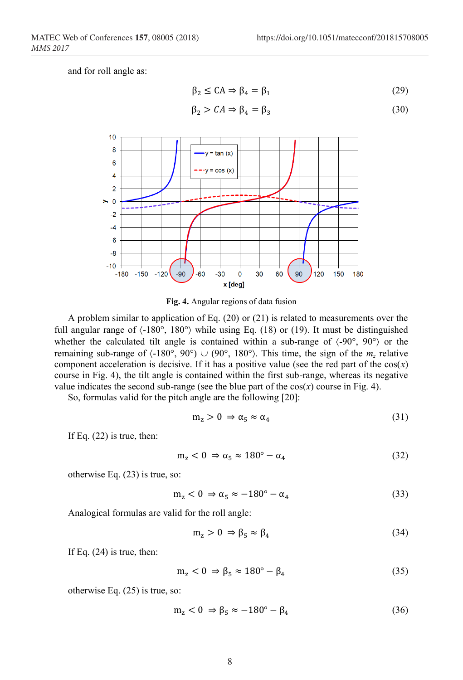and for roll angle as:

$$
\beta_2 \le \mathcal{C} \mathcal{A} \Rightarrow \beta_4 = \beta_1 \tag{29}
$$

$$
\beta_2 > CA \Rightarrow \beta_4 = \beta_3 \tag{30}
$$



**Fig. 4.** Angular regions of data fusion

A problem similar to application of Eq. (20) or (21) is related to measurements over the full angular range of  $\langle$ -180°, 180°) while using Eq. (18) or (19). It must be distinguished whether the calculated tilt angle is contained within a sub-range of  $\langle -90^\circ, 90^\circ \rangle$  or the remaining sub-range of  $\langle -180^\circ, 90^\circ \rangle \cup (90^\circ, 180^\circ)$ . This time, the sign of the  $m_z$  relative component acceleration is decisive. If it has a positive value (see the red part of the  $cos(x)$ ) course in Fig. 4), the tilt angle is contained within the first sub-range, whereas its negative value indicates the second sub-range (see the blue part of the  $cos(x)$  course in Fig. 4).

So, formulas valid for the pitch angle are the following [20]:

$$
m_z > 0 \Rightarrow \alpha_5 \approx \alpha_4 \tag{31}
$$

If Eq. (22) is true, then:

$$
m_z < 0 \Rightarrow \alpha_5 \approx 180^\circ - \alpha_4 \tag{32}
$$

otherwise Eq. (23) is true, so:

$$
m_z < 0 \Rightarrow \alpha_5 \approx -180^\circ - \alpha_4 \tag{33}
$$

Analogical formulas are valid for the roll angle:

$$
m_z > 0 \Rightarrow \beta_5 \approx \beta_4 \tag{34}
$$

If Eq.  $(24)$  is true, then:

$$
m_z < 0 \Rightarrow \beta_5 \approx 180^\circ - \beta_4 \tag{35}
$$

otherwise Eq. (25) is true, so:

$$
m_z < 0 \Rightarrow \beta_5 \approx -180^\circ - \beta_4 \tag{36}
$$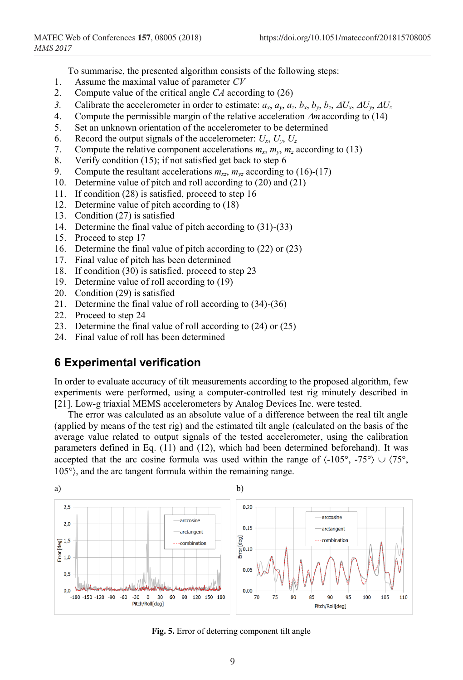To summarise, the presented algorithm consists of the following steps:

- 1. Assume the maximal value of parameter *CV*
- 2. Compute value of the critical angle *CA* according to (26)
- 3. Calibrate the accelerometer in order to estimate:  $a_x$ ,  $a_y$ ,  $a_z$ ,  $b_x$ ,  $b_y$ ,  $b_z$ ,  $\Delta U_x$ ,  $\Delta U_y$ ,  $\Delta U_z$
- 4. Compute the permissible margin of the relative acceleration  $\Delta m$  according to (14)
- 5. Set an unknown orientation of the accelerometer to be determined
- 6. Record the output signals of the accelerometer:  $U_x$ ,  $U_y$ ,  $U_z$ <br>7. Compute the relative component accelerations  $m_x$ ,  $m_y$ ,  $m_z$
- Compute the relative component accelerations  $m_x$ ,  $m_y$ ,  $m_z$  according to (13)
- 8. Verify condition (15); if not satisfied get back to step 6
- 9. Compute the resultant accelerations  $m_{yz}$ ,  $m_{yz}$  according to (16)-(17)
- 10. Determine value of pitch and roll according to (20) and (21)
- 11. If condition (28) is satisfied, proceed to step 16
- 12. Determine value of pitch according to (18)
- 13. Condition (27) is satisfied
- 14. Determine the final value of pitch according to (31)-(33)
- 15. Proceed to step 17
- 16. Determine the final value of pitch according to (22) or (23)
- 17. Final value of pitch has been determined
- 18. If condition (30) is satisfied, proceed to step 23
- 19. Determine value of roll according to (19)
- 20. Condition (29) is satisfied
- 21. Determine the final value of roll according to (34)-(36)
- 22. Proceed to step 24
- 23. Determine the final value of roll according to (24) or (25)
- 24. Final value of roll has been determined

## **6 Experimental verification**

In order to evaluate accuracy of tilt measurements according to the proposed algorithm, few experiments were performed, using a computer-controlled test rig minutely described in [21]. Low-g triaxial MEMS accelerometers by Analog Devices Inc. were tested.

The error was calculated as an absolute value of a difference between the real tilt angle (applied by means of the test rig) and the estimated tilt angle (calculated on the basis of the average value related to output signals of the tested accelerometer, using the calibration parameters defined in Eq. (11) and (12), which had been determined beforehand). It was accepted that the arc cosine formula was used within the range of  $\langle -105^\circ, -75^\circ \rangle \cup \langle 75^\circ, -75^\circ \rangle$ 105°, and the arc tangent formula within the remaining range.



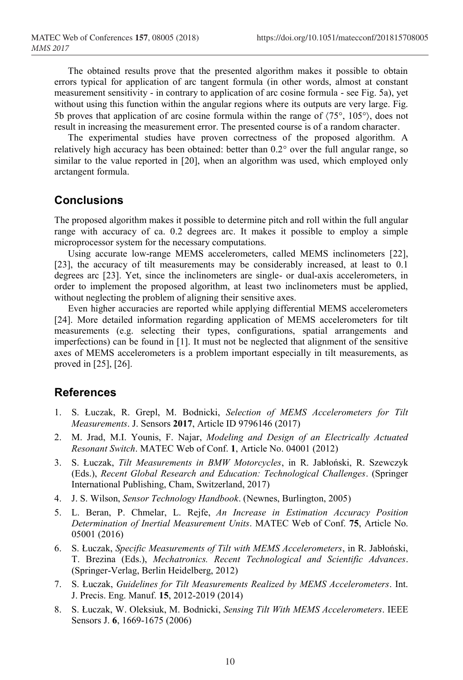The obtained results prove that the presented algorithm makes it possible to obtain errors typical for application of arc tangent formula (in other words, almost at constant measurement sensitivity - in contrary to application of arc cosine formula - see Fig. 5a), yet without using this function within the angular regions where its outputs are very large. Fig. 5b proves that application of arc cosine formula within the range of  $\langle 75^\circ, 105^\circ \rangle$ , does not result in increasing the measurement error. The presented course is of a random character.

The experimental studies have proven correctness of the proposed algorithm. A relatively high accuracy has been obtained: better than 0.2° over the full angular range, so similar to the value reported in [20], when an algorithm was used, which employed only arctangent formula.

## **Conclusions**

The proposed algorithm makes it possible to determine pitch and roll within the full angular range with accuracy of ca. 0.2 degrees arc. It makes it possible to employ a simple microprocessor system for the necessary computations.

Using accurate low-range MEMS accelerometers, called MEMS inclinometers [22], [23], the accuracy of tilt measurements may be considerably increased, at least to 0.1 degrees arc [23]. Yet, since the inclinometers are single- or dual-axis accelerometers, in order to implement the proposed algorithm, at least two inclinometers must be applied, without neglecting the problem of aligning their sensitive axes.

Even higher accuracies are reported while applying differential MEMS accelerometers [24]. More detailed information regarding application of MEMS accelerometers for tilt measurements (e.g. selecting their types, configurations, spatial arrangements and imperfections) can be found in [1]. It must not be neglected that alignment of the sensitive axes of MEMS accelerometers is a problem important especially in tilt measurements, as proved in [25], [26].

# **References**

- 1. S. Łuczak, R. Grepl, M. Bodnicki, *Selection of MEMS Accelerometers for Tilt Measurements*. J. Sensors **2017**, Article ID 9796146 (2017)
- 2. M. Jrad, M.I. Younis, F. Najar, *Modeling and Design of an Electrically Actuated Resonant Switch*. MATEC Web of Conf. **1**, Article No. 04001 (2012)
- 3. S. Łuczak, *Tilt Measurements in BMW Motorcycles*, in R. Jabłoński, R. Szewczyk (Eds.), *Recent Global Research and Education: Technological Challenges*. (Springer International Publishing, Cham, Switzerland, 2017)
- 4. J. S. Wilson, *Sensor Technology Handbook*. (Newnes, Burlington, 2005)
- 5. L. Beran, P. Chmelar, L. Rejfe, *An Increase in Estimation Accuracy Position Determination of Inertial Measurement Units*. MATEC Web of Conf. **75**, Article No. 05001 (2016)
- 6. S. Łuczak, *Specific Measurements of Tilt with MEMS Accelerometers*, in R. Jabłoński, T. Brezina (Eds.), *Mechatronics. Recent Technological and Scientific Advances*. (Springer-Verlag, Berlin Heidelberg, 2012)
- 7. S. Łuczak, *Guidelines for Tilt Measurements Realized by MEMS Accelerometers*. Int. J. Precis. Eng. Manuf. **15**, 2012-2019 (2014)
- 8. S. Łuczak, W. Oleksiuk, M. Bodnicki, *Sensing Tilt With MEMS Accelerometers*. IEEE Sensors J. **6**, 1669-1675 (2006)